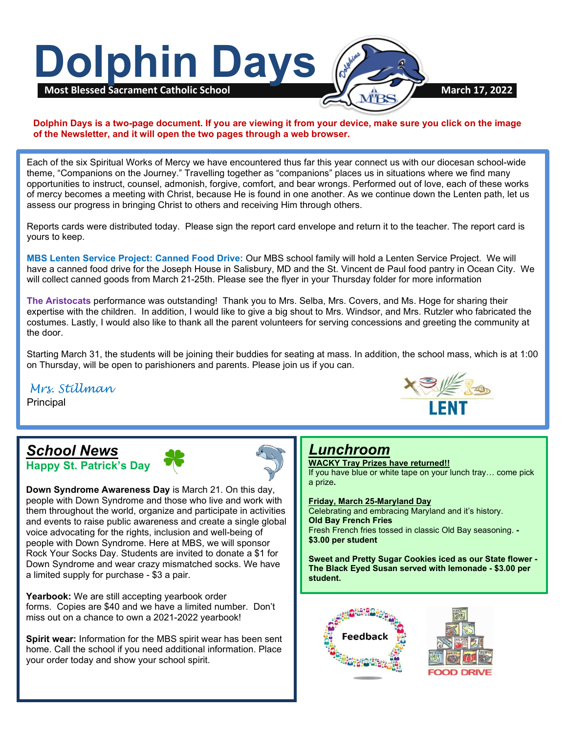

#### **Dolphin Days is a two-page document. If you are viewing it from your device, make sure you click on the image of the Newsletter, and it will open the two pages through a web browser.**

Each of the six Spiritual Works of Mercy we have encountered thus far this year connect us with our diocesan school-wide theme, "Companions on the Journey." Travelling together as "companions" places us in situations where we find many opportunities to instruct, counsel, admonish, forgive, comfort, and bear wrongs. Performed out of love, each of these works of mercy becomes a meeting with Christ, because He is found in one another. As we continue down the Lenten path, let us assess our progress in bringing Christ to others and receiving Him through others.

Reports cards were distributed today. Please sign the report card envelope and return it to the teacher. The report card is yours to keep.

**MBS Lenten Service Project: Canned Food Drive:** Our MBS school family will hold a Lenten Service Project. We will have a canned food drive for the Joseph House in Salisbury, MD and the St. Vincent de Paul food pantry in Ocean City. We will collect canned goods from March 21-25th. Please see the flyer in your Thursday folder for more information

**The Aristocats** performance was outstanding! Thank you to Mrs. Selba, Mrs. Covers, and Ms. Hoge for sharing their expertise with the children. In addition, I would like to give a big shout to Mrs. Windsor, and Mrs. Rutzler who fabricated the costumes. Lastly, I would also like to thank all the parent volunteers for serving concessions and greeting the community at the door.

 on Thursday, will be open to parishioners and parents. Please join us if you can. Starting March 31, the students will be joining their buddies for seating at mass. In addition, the school mass, which is at 1:00

### *Mrs. Stillman*

**Principal** 

 $\overline{a}$ 

### *School News* **Happy St. Patrick's Day**



**Down Syndrome Awareness Day** [is M](http://www.pngall.com/clover-png)arch 21. On this day, people with Down Syndrome and [tho](http://www.pngall.com/clover-png)se who live and work with them throughout the world, organize and participate in activities and events to raise public awareness and create a single global voice advocating for the rights, inclusion and well-being of people with Down Syndrome. Here at MBS, we will sponsor Rock Your Socks Day. Students are invited to donate a \$1 for Down Syndrome and wear crazy mismatched socks. We have a limited supply for purchase - \$3 a pair.

Yearbook: We are still accepting yearbook order forms. Copies are \$40 and we have a limited number. Don't miss out on a chance to own a 20[21-20](https://creativecommons.org/licenses/by-nc/3.0/)22 yearbook!

**Spirit wear:** Information for the M[BS](https://creativecommons.org/licenses/by-nc/3.0/) spirit wear has been sent home. Call the school if you need additional information. Place your order today and show your school spirit.



### *Lunchroom*

**WACKY Tray Prizes have returned!!** If you have blue or white tape on your lunch tray… come pick a prize**.**

**Friday, March 25-Maryland Day**

Celebrating and embracing Maryland and it's history. **Old Bay French Fries** Fresh French fries tossed in classic Old Bay seasoning. **- \$3.00 per student**

**Sweet and Pretty Sugar Cookies iced as our State flower - The Black Eyed Susan served with lemonade - \$3.00 per student.**